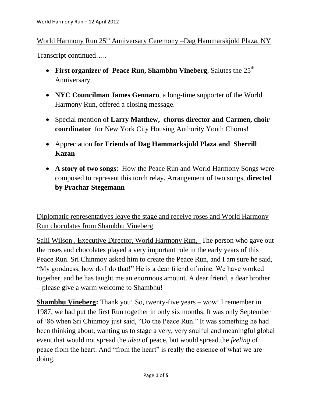World Harmony Run 25<sup>th</sup> Anniversary Ceremony –Dag Hammarskjöld Plaza, NY

Transcript continued…..

- **First organizer of Peace Run, Shambhu Vineberg, Salutes the**  $25<sup>th</sup>$ Anniversary
- **NYC Councilman James Gennaro**, a long-time supporter of the World Harmony Run, offered a closing message.
- Special mention of **Larry Matthew, chorus director and Carmen, choir coordinator** for New York City Housing Authority Youth Chorus!
- Appreciation **for Friends of Dag Hammarksjöld Plaza and Sherrill Kazan**
- **A story of two songs**: How the Peace Run and World Harmony Songs were composed to represent this torch relay. Arrangement of two songs, **directed by Prachar Stegemann**

Diplomatic representatives leave the stage and receive roses and World Harmony Run chocolates from Shambhu Vineberg

Salil Wilson , Executive Director, World Harmony Run, The person who gave out the roses and chocolates played a very important role in the early years of this Peace Run. Sri Chinmoy asked him to create the Peace Run, and I am sure he said, "My goodness, how do I do that!" He is a dear friend of mine. We have worked together, and he has taught me an enormous amount. A dear friend, a dear brother – please give a warm welcome to Shambhu!

**Shambhu Vineberg:** Thank you! So, twenty-five years – wow! I remember in 1987, we had put the first Run together in only six months. It was only September of '86 when Sri Chinmoy just said, "Do the Peace Run." It was something he had been thinking about, wanting us to stage a very, very soulful and meaningful global event that would not spread the *idea* of peace, but would spread the *feeling* of peace from the heart. And "from the heart" is really the essence of what we are doing.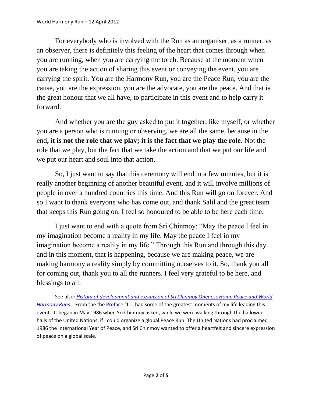For everybody who is involved with the Run as an organiser, as a runner, as an observer, there is definitely this feeling of the heart that comes through when you are running, when you are carrying the torch. Because at the moment when you are taking the action of sharing this event or conveying the event, you are carrying the spirit. You are the Harmony Run, you are the Peace Run, you are the cause, you are the expression, you are the advocate, you are the peace. And that is the great honour that we all have, to participate in this event and to help carry it forward.

And whether you are the guy asked to put it together, like myself, or whether you are a person who is running or observing, we are all the same, because in the end**, it is not the role that we play; it is the fact that we play the role**. Not the role that we play, but the fact that we take the action and that we put our life and we put our heart and soul into that action.

So, I just want to say that this ceremony will end in a few minutes, but it is really another beginning of another beautiful event, and it will involve millions of people in over a hundred countries this time. And this Run will go on forever. And so I want to thank everyone who has come out, and thank Salil and the great team that keeps this Run going on. I feel so honoured to be able to be here each time.

I just want to end with a quote from Sri Chinmoy: "May the peace I feel in my imagination become a reality in my life. May the peace I feel in my imagination become a reality in my life." Through this Run and through this day and in this moment, that is happening, because we are making peace, we are making harmony a reality simply by committing ourselves to it. So, thank you all for coming out, thank you to all the runners. I feel very grateful to be here, and blessings to all.

See also: *[History of development and expansion of Sri Chinmoy Oneness Home Peace and World](http://www.worldharmonyrun.org/about/history)  [Harmony Runs](http://www.worldharmonyrun.org/about/history)*. From the the [Preface](http://www.worldharmonyrun.org/about/history/history_2011/preface) "I ... had some of the greatest moments of my life leading this event...It began in May 1986 when Sri Chinmoy asked, while we were walking through the hallowed halls of the United Nations, if I could organize a global Peace Run. The United Nations had proclaimed 1986 the International Year of Peace, and Sri Chinmoy wanted to offer a heartfelt and sincere expression of peace on a global scale."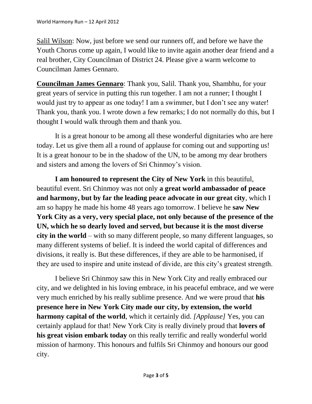Salil Wilson: Now, just before we send our runners off, and before we have the Youth Chorus come up again, I would like to invite again another dear friend and a real brother, City Councilman of District 24. Please give a warm welcome to Councilman James Gennaro.

**Councilman James Gennaro**: Thank you, Salil. Thank you, Shambhu, for your great years of service in putting this run together. I am not a runner; I thought I would just try to appear as one today! I am a swimmer, but I don't see any water! Thank you, thank you. I wrote down a few remarks; I do not normally do this, but I thought I would walk through them and thank you.

It is a great honour to be among all these wonderful dignitaries who are here today. Let us give them all a round of applause for coming out and supporting us! It is a great honour to be in the shadow of the UN, to be among my dear brothers and sisters and among the lovers of Sri Chinmoy's vision.

**I am honoured to represent the City of New York** in this beautiful, beautiful event. Sri Chinmoy was not only **a great world ambassador of peace and harmony, but by far the leading peace advocate in our great city**, which I am so happy he made his home 48 years ago tomorrow. I believe he **saw New York City as a very, very special place, not only because of the presence of the UN, which he so dearly loved and served, but because it is the most diverse city in the world** – with so many different people, so many different languages, so many different systems of belief. It is indeed the world capital of differences and divisions, it really is. But these differences, if they are able to be harmonised, if they are used to inspire and unite instead of divide, are this city's greatest strength.

I believe Sri Chinmoy saw this in New York City and really embraced our city, and we delighted in his loving embrace, in his peaceful embrace, and we were very much enriched by his really sublime presence. And we were proud that **his presence here in New York City made our city, by extension, the world harmony capital of the world**, which it certainly did. *[Applause]* Yes, you can certainly applaud for that! New York City is really divinely proud that **lovers of his great vision embark today** on this really terrific and really wonderful world mission of harmony. This honours and fulfils Sri Chinmoy and honours our good city.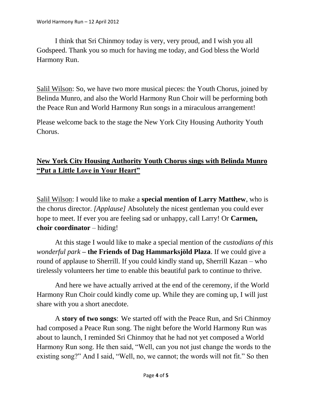I think that Sri Chinmoy today is very, very proud, and I wish you all Godspeed. Thank you so much for having me today, and God bless the World Harmony Run.

Salil Wilson: So, we have two more musical pieces: the Youth Chorus, joined by Belinda Munro, and also the World Harmony Run Choir will be performing both the Peace Run and World Harmony Run songs in a miraculous arrangement!

Please welcome back to the stage the New York City Housing Authority Youth Chorus.

## **New York City Housing Authority Youth Chorus sings with Belinda Munro "Put a Little Love in Your Heart"**

Salil Wilson: I would like to make a **special mention of Larry Matthew**, who is the chorus director. *[Applause]* Absolutely the nicest gentleman you could ever hope to meet. If ever you are feeling sad or unhappy, call Larry! Or **Carmen, choir coordinator** – hiding!

At this stage I would like to make a special mention of the *custodians of this wonderful park –* **the Friends of Dag Hammarksjöld Plaza**. If we could give a round of applause to Sherrill. If you could kindly stand up, Sherrill Kazan – who tirelessly volunteers her time to enable this beautiful park to continue to thrive.

And here we have actually arrived at the end of the ceremony, if the World Harmony Run Choir could kindly come up. While they are coming up, I will just share with you a short anecdote.

A **story of two songs**: We started off with the Peace Run, and Sri Chinmoy had composed a Peace Run song. The night before the World Harmony Run was about to launch, I reminded Sri Chinmoy that he had not yet composed a World Harmony Run song. He then said, "Well, can you not just change the words to the existing song?" And I said, "Well, no, we cannot; the words will not fit." So then